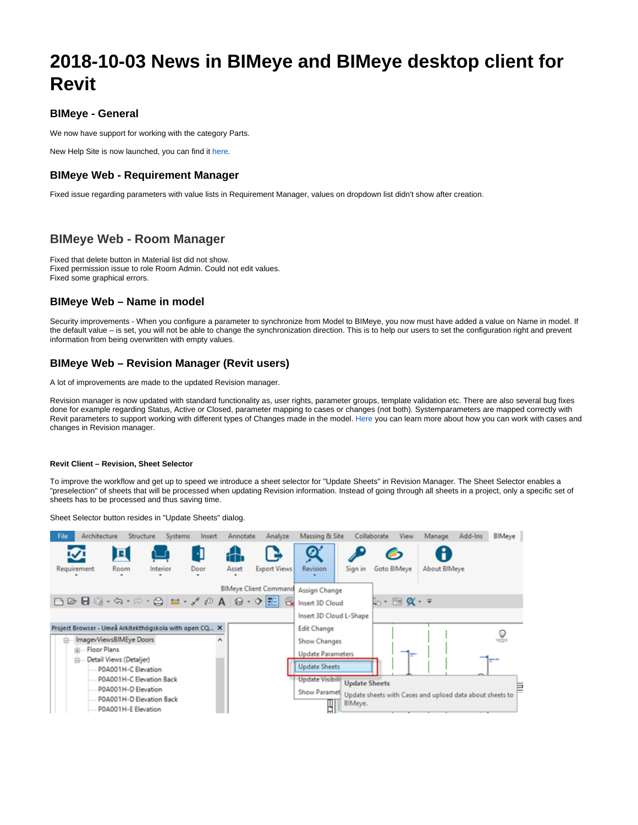# **2018-10-03 News in BIMeye and BIMeye desktop client for Revit**

#### **BIMeye - General**

We now have support for working with the category Parts.

New Help Site is now launched, you can find it [here.](https://help.symetri.com/display/HELPBIMEYE/)

#### **BIMeye Web - Requirement Manager**

Fixed issue regarding parameters with value lists in Requirement Manager, values on dropdown list didn't show after creation.

### **BIMeye Web - Room Manager**

Fixed that delete button in Material list did not show. Fixed permission issue to role Room Admin. Could not edit values. Fixed some graphical errors.

#### **BIMeye Web – Name in model**

Security improvements - When you configure a parameter to synchronize from Model to BIMeye, you now must have added a value on Name in model. If the default value – is set, you will not be able to change the synchronization direction. This is to help our users to set the configuration right and prevent information from being overwritten with empty values.

#### **BIMeye Web – Revision Manager (Revit users)**

A lot of improvements are made to the updated Revision manager.

Revision manager is now updated with standard functionality as, user rights, parameter groups, template validation etc. There are also several bug fixes done for example regarding Status, Active or Closed, parameter mapping to cases or changes (not both). Systemparameters are mapped correctly with Revit parameters to support working with different types of Changes made in the model. [Here](https://help.symetri.com/display/HELPBIME/Revision+Manager) you can learn more about how you can work with cases and changes in Revision manager.

#### **Revit Client – Revision, Sheet Selector**

To improve the workflow and get up to speed we introduce a sheet selector for "Update Sheets" in Revision Manager. The Sheet Selector enables a "preselection" of sheets that will be processed when updating Revision information. Instead of going through all sheets in a project, only a specific set of sheets has to be processed and thus saving time.

Sheet Selector button resides in "Update Sheets" dialog.

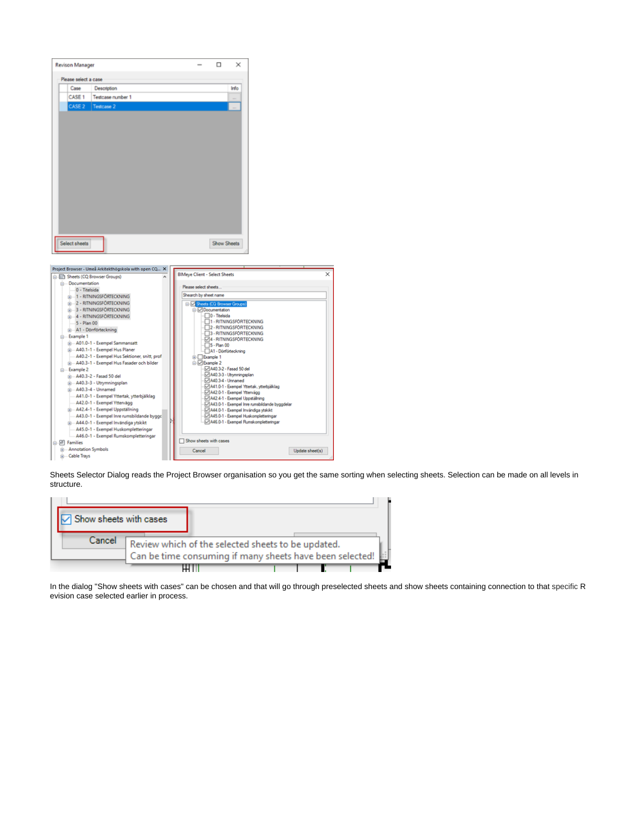| <b>Revison Manager</b>                                                               |                                                                | □                  | $\times$                                           |                                               |  |
|--------------------------------------------------------------------------------------|----------------------------------------------------------------|--------------------|----------------------------------------------------|-----------------------------------------------|--|
| Please select a case                                                                 |                                                                |                    |                                                    |                                               |  |
| Case<br>Description                                                                  |                                                                |                    | Info                                               |                                               |  |
| CASE <sub>1</sub><br>Testcase number 1                                               |                                                                |                    |                                                    |                                               |  |
| CASE <sub>2</sub><br>Testcase 2                                                      |                                                                |                    |                                                    |                                               |  |
| Select sheets                                                                        |                                                                | <b>Show Sheets</b> |                                                    |                                               |  |
| Project Browser - Umeå Arkitekthögskola with open CQ X<br>Sheets (CQ Browser Groups) | <b>BIMeye Client - Select Sheets</b>                           |                    |                                                    |                                               |  |
| <b>Documentation</b><br>0 - Titelsida                                                | Please select sheets                                           |                    |                                                    |                                               |  |
| <b>B</b> 1 - RITNINGSFÖRTECKNING                                                     | Shearch by sheet name                                          |                    |                                                    |                                               |  |
| 2 - RITNINGSFÖRTECKNING                                                              | Sheets (CQ Browser Groups)                                     |                    |                                                    |                                               |  |
| <b>B</b> 3 - RITNINGSFÖRTECKNING<br>4 - RITNINGSFÖRTECKNING                          | <b>Documentation</b>                                           | 0 - Titelsida      |                                                    |                                               |  |
| 5 - Plan 00                                                                          |                                                                |                    | 1 - RITNINGSFÖRTECKNING                            |                                               |  |
| A1 - Dörrförteckning                                                                 |                                                                |                    | 2 - RITNINGSFORTECKNING<br>3 - RITNINGSFÖRTECKNING |                                               |  |
| <b>Example 1</b>                                                                     |                                                                |                    | 4 - RITNINGSFÖRTECKNING                            |                                               |  |
| A01.0-1 - Exempel Sammansatt<br>A40.1-1 - Exempel Hus Planer                         |                                                                | 5 - Plan 00        |                                                    |                                               |  |
| A40.2-1 - Exempel Hus Sektioner, snitt, prof                                         | <b>ia-</b> Example 1                                           |                    | A1 - Dömförteckning                                |                                               |  |
| A40.3-1 - Exempel Hus Fasader och bilder                                             | □ Z Example 2                                                  |                    |                                                    |                                               |  |
| Example 2                                                                            |                                                                |                    | A40.3-2 - Fasad 50 del                             |                                               |  |
| iii - A40.3-2 - Fasad 50 del                                                         |                                                                |                    | A40.3-3 - Utrymningsplan                           |                                               |  |
| B-A40.3-3 - Utrymningsplan<br>$\dot{\mathbb{H}}$ $-$ A40.3-4 - Unnamed               | A40.3-4 - Unnamed<br>A41.0-1 - Exempel Yttertak, ytterbjälklag |                    |                                                    |                                               |  |
| - A41.0-1 - Exempel Yttertak, ytterbjälklag                                          | A42.0-1 - Exempel Yttervägg<br>A42.4-1 - Exempel Uppställning  |                    |                                                    |                                               |  |
| A42.0-1 - Exempel Yttervägg                                                          |                                                                |                    |                                                    | A43.0-1 - Exempel Inre rumsbildande byggdelar |  |
| A42.4-1 - Exempel Uppställning                                                       |                                                                |                    |                                                    | A44.0-1 - Exempel Invändiga ytskikt           |  |
| A43.0-1 - Exempel Inre rumsbildande byggc                                            |                                                                |                    |                                                    | A45.0-1 - Exempel Huskompletteringar          |  |
| A44.0-1 - Exempel Invändiga ytskikt                                                  |                                                                |                    |                                                    | A46.0-1 - Exempel Rumskompletteringar         |  |
| A45.0-1 - Exempel Huskompletteringar                                                 |                                                                |                    |                                                    |                                               |  |
|                                                                                      |                                                                |                    |                                                    |                                               |  |
| A46.0-1 - Exempel Rumskompletteringar<br>e PI Families                               | Show sheets with cases                                         |                    |                                                    |                                               |  |

Sheets Selector Dialog reads the Project Browser organisation so you get the same sorting when selecting sheets. Selection can be made on all levels in structure.

| Show sheets with cases |                                                                                                                |  |  |
|------------------------|----------------------------------------------------------------------------------------------------------------|--|--|
| Cancel                 | Review which of the selected sheets to be updated.<br>Can be time consuming if many sheets have been selected! |  |  |
|                        |                                                                                                                |  |  |

In the dialog "Show sheets with cases" can be chosen and that will go through preselected sheets and show sheets containing connection to that specific R evision case selected earlier in process.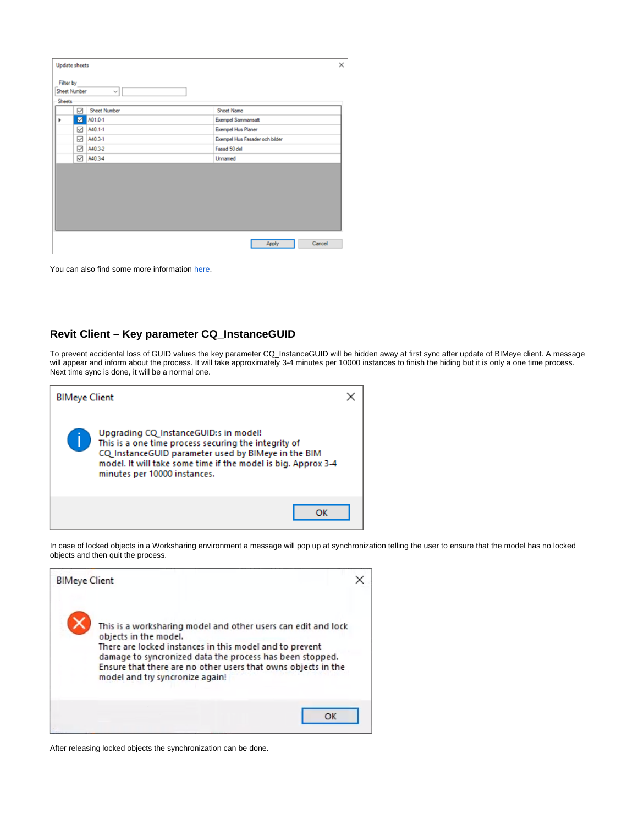| Filter by<br><b>Sheet Number</b><br>$\checkmark$<br><b>Sheets</b><br>Sheet Number<br>Sheet Name<br>$\boxtimes$ A01.0-1<br><b>Exempel Sammansatt</b><br>Þ<br>□ A40.1-1<br><b>Exempel Hus Planer</b><br>□ A40.3-1<br>Exempel Hus Fasader och bilder<br>□ A40.3-2<br>Fasad 50 del<br>□ A40.3-4<br>Unnamed | <b>Update sheets</b> | $\times$        |
|--------------------------------------------------------------------------------------------------------------------------------------------------------------------------------------------------------------------------------------------------------------------------------------------------------|----------------------|-----------------|
|                                                                                                                                                                                                                                                                                                        |                      |                 |
|                                                                                                                                                                                                                                                                                                        |                      |                 |
|                                                                                                                                                                                                                                                                                                        |                      |                 |
|                                                                                                                                                                                                                                                                                                        |                      |                 |
|                                                                                                                                                                                                                                                                                                        |                      |                 |
|                                                                                                                                                                                                                                                                                                        |                      |                 |
|                                                                                                                                                                                                                                                                                                        |                      |                 |
|                                                                                                                                                                                                                                                                                                        |                      |                 |
|                                                                                                                                                                                                                                                                                                        |                      |                 |
|                                                                                                                                                                                                                                                                                                        |                      |                 |
|                                                                                                                                                                                                                                                                                                        |                      |                 |
|                                                                                                                                                                                                                                                                                                        |                      |                 |
|                                                                                                                                                                                                                                                                                                        |                      |                 |
|                                                                                                                                                                                                                                                                                                        |                      | Cancel<br>Apply |
|                                                                                                                                                                                                                                                                                                        |                      |                 |

You can also find some more information [here](https://help.symetri.com/display/HELPBIMEYE/Revision+Manager).

#### **Revit Client – Key parameter CQ\_InstanceGUID**

To prevent accidental loss of GUID values the key parameter CQ\_InstanceGUID will be hidden away at first sync after update of BIMeye client. A message will appear and inform about the process. It will take approximately 3-4 minutes per 10000 instances to finish the hiding but it is only a one time process. Next time sync is done, it will be a normal one.

| <b>BIMeye Client</b> |                                                                                                                                                                                                                                                       |  |
|----------------------|-------------------------------------------------------------------------------------------------------------------------------------------------------------------------------------------------------------------------------------------------------|--|
|                      | Upgrading CQ InstanceGUID:s in model!<br>This is a one time process securing the integrity of<br>CQ InstanceGUID parameter used by BIMeye in the BIM<br>model. It will take some time if the model is big. Approx 3-4<br>minutes per 10000 instances. |  |
|                      | ОК                                                                                                                                                                                                                                                    |  |

In case of locked objects in a Worksharing environment a message will pop up at synchronization telling the user to ensure that the model has no locked objects and then quit the process.

| <b>BIMeye Client</b> |                                                                                                                                                                                                                                                                                                                   |  |
|----------------------|-------------------------------------------------------------------------------------------------------------------------------------------------------------------------------------------------------------------------------------------------------------------------------------------------------------------|--|
|                      | This is a worksharing model and other users can edit and lock<br>objects in the model.<br>There are locked instances in this model and to prevent<br>damage to syncronized data the process has been stopped.<br>Ensure that there are no other users that owns objects in the<br>model and try syncronize again! |  |
|                      | OK                                                                                                                                                                                                                                                                                                                |  |

After releasing locked objects the synchronization can be done.